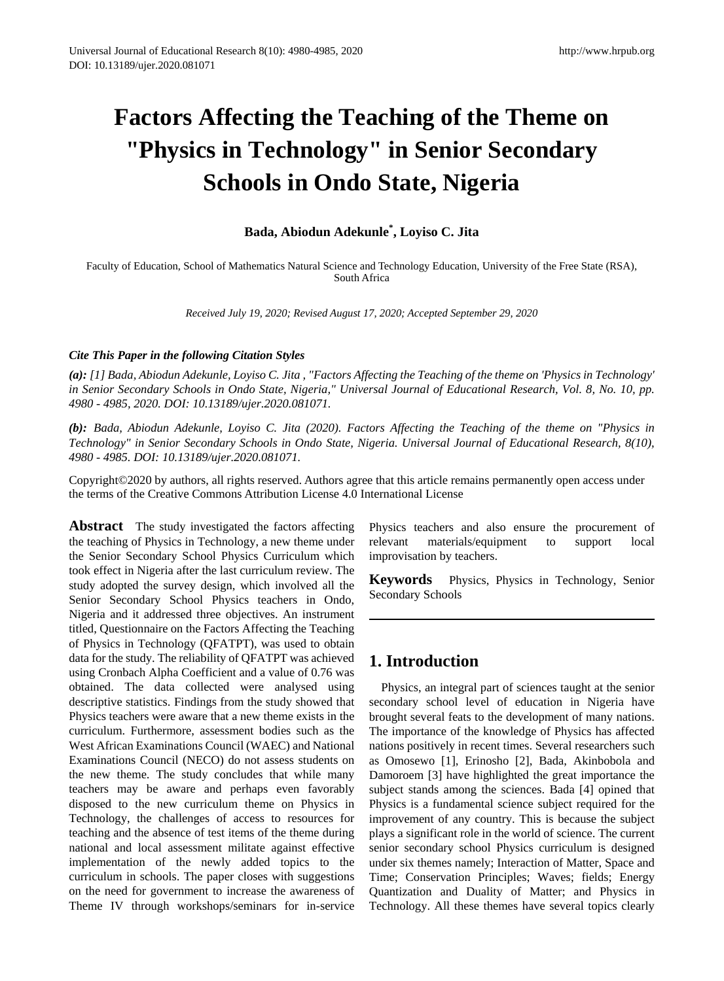# **Factors Affecting the Teaching of the Theme on "Physics in Technology" in Senior Secondary Schools in Ondo State, Nigeria**

**Bada, Abiodun Adekunle\* , Loyiso C. Jita**

Faculty of Education, School of Mathematics Natural Science and Technology Education, University of the Free State (RSA), South Africa

*Received July 19, 2020; Revised August 17, 2020; Accepted September 29, 2020* 

#### *Cite This Paper in the following Citation Styles*

*(a): [1] Bada, Abiodun Adekunle, Loyiso C. Jita , "Factors Affecting the Teaching of the theme on 'Physics in Technology'* in Senior Secondary Schools in Ondo State, Nigeria," Universal Journal of Educational Research, Vol. 8, No. 10, pp. *4980 - 4985, 2020. DOI: 10.13189/ujer.2020.081071.* 

*(b): Bada, Abiodun Adekunle, Loyiso C. Jita (2020). Factors Affecting the Teaching of the theme on "Physics in Technology" in Senior Secondary Schools in Ondo State, Nigeria. Universal Journal of Educational Research, 8(10), 4980 - 4985. DOI: 10.13189/ujer.2020.081071.* 

Copyright©2020 by authors, all rights reserved. Authors agree that this article remains permanently open access under the terms of the Creative Commons Attribution License 4.0 International License

**Abstract** The study investigated the factors affecting the teaching of Physics in Technology, a new theme under the Senior Secondary School Physics Curriculum which took effect in Nigeria after the last curriculum review. The study adopted the survey design, which involved all the Senior Secondary School Physics teachers in Ondo, Nigeria and it addressed three objectives. An instrument titled, Questionnaire on the Factors Affecting the Teaching of Physics in Technology (QFATPT), was used to obtain data for the study. The reliability of QFATPT was achieved using Cronbach Alpha Coefficient and a value of 0.76 was obtained. The data collected were analysed using descriptive statistics. Findings from the study showed that Physics teachers were aware that a new theme exists in the curriculum. Furthermore, assessment bodies such as the West African Examinations Council (WAEC) and National Examinations Council (NECO) do not assess students on the new theme. The study concludes that while many teachers may be aware and perhaps even favorably disposed to the new curriculum theme on Physics in Technology, the challenges of access to resources for teaching and the absence of test items of the theme during national and local assessment militate against effective implementation of the newly added topics to the curriculum in schools. The paper closes with suggestions on the need for government to increase the awareness of Theme IV through workshops/seminars for in-service

Physics teachers and also ensure the procurement of relevant materials/equipment to support local improvisation by teachers.

**Keywords** Physics, Physics in Technology, Senior Secondary Schools

## **1. Introduction**

Physics, an integral part of sciences taught at the senior secondary school level of education in Nigeria have brought several feats to the development of many nations. The importance of the knowledge of Physics has affected nations positively in recent times. Several researchers such as Omosewo [1], Erinosho [2], Bada, Akinbobola and Damoroem [3] have highlighted the great importance the subject stands among the sciences. Bada [4] opined that Physics is a fundamental science subject required for the improvement of any country. This is because the subject plays a significant role in the world of science. The current senior secondary school Physics curriculum is designed under six themes namely; Interaction of Matter, Space and Time; Conservation Principles; Waves; fields; Energy Quantization and Duality of Matter; and Physics in Technology. All these themes have several topics clearly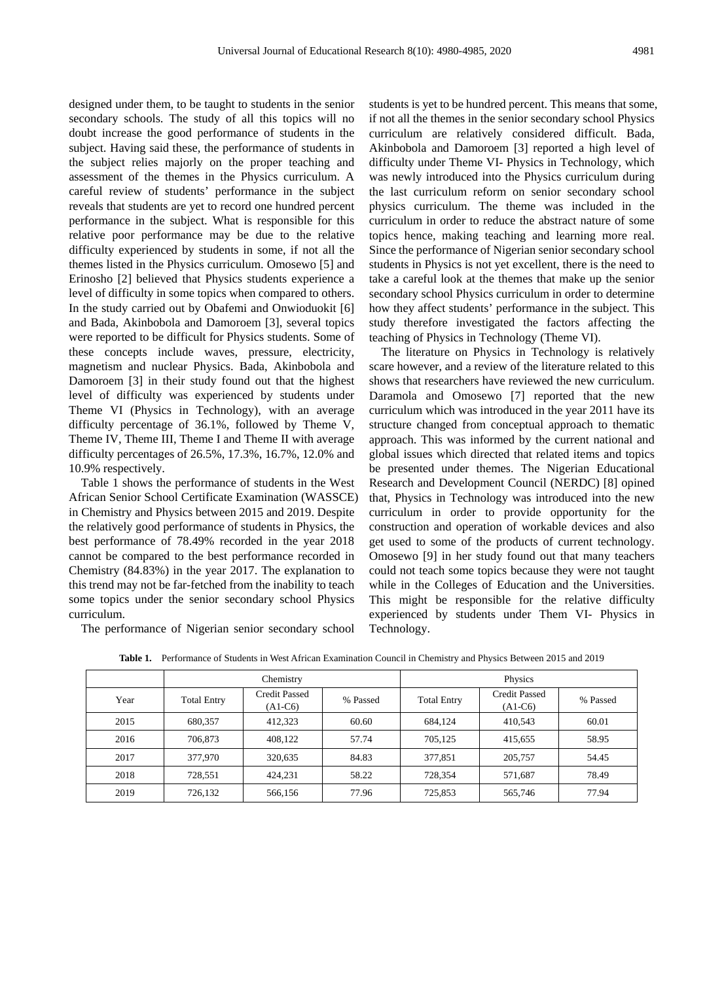designed under them, to be taught to students in the senior secondary schools. The study of all this topics will no doubt increase the good performance of students in the subject. Having said these, the performance of students in the subject relies majorly on the proper teaching and assessment of the themes in the Physics curriculum. A careful review of students' performance in the subject reveals that students are yet to record one hundred percent performance in the subject. What is responsible for this relative poor performance may be due to the relative difficulty experienced by students in some, if not all the themes listed in the Physics curriculum. Omosewo [5] and Erinosho [2] believed that Physics students experience a level of difficulty in some topics when compared to others. In the study carried out by Obafemi and Onwioduokit [6] and Bada, Akinbobola and Damoroem [3], several topics were reported to be difficult for Physics students. Some of these concepts include waves, pressure, electricity, magnetism and nuclear Physics. Bada, Akinbobola and Damoroem [3] in their study found out that the highest level of difficulty was experienced by students under Theme VI (Physics in Technology), with an average difficulty percentage of 36.1%, followed by Theme V, Theme IV, Theme III, Theme I and Theme II with average difficulty percentages of 26.5%, 17.3%, 16.7%, 12.0% and 10.9% respectively.

Table 1 shows the performance of students in the West African Senior School Certificate Examination (WASSCE) in Chemistry and Physics between 2015 and 2019. Despite the relatively good performance of students in Physics, the best performance of 78.49% recorded in the year 2018 cannot be compared to the best performance recorded in Chemistry (84.83%) in the year 2017. The explanation to this trend may not be far-fetched from the inability to teach some topics under the senior secondary school Physics curriculum.

The performance of Nigerian senior secondary school

students is yet to be hundred percent. This means that some, if not all the themes in the senior secondary school Physics curriculum are relatively considered difficult. Bada, Akinbobola and Damoroem [3] reported a high level of difficulty under Theme VI- Physics in Technology, which was newly introduced into the Physics curriculum during the last curriculum reform on senior secondary school physics curriculum. The theme was included in the curriculum in order to reduce the abstract nature of some topics hence, making teaching and learning more real. Since the performance of Nigerian senior secondary school students in Physics is not yet excellent, there is the need to take a careful look at the themes that make up the senior secondary school Physics curriculum in order to determine how they affect students' performance in the subject. This study therefore investigated the factors affecting the teaching of Physics in Technology (Theme VI).

The literature on Physics in Technology is relatively scare however, and a review of the literature related to this shows that researchers have reviewed the new curriculum. Daramola and Omosewo [7] reported that the new curriculum which was introduced in the year 2011 have its structure changed from conceptual approach to thematic approach. This was informed by the current national and global issues which directed that related items and topics be presented under themes. The Nigerian Educational Research and Development Council (NERDC) [8] opined that, Physics in Technology was introduced into the new curriculum in order to provide opportunity for the construction and operation of workable devices and also get used to some of the products of current technology. Omosewo [9] in her study found out that many teachers could not teach some topics because they were not taught while in the Colleges of Education and the Universities. This might be responsible for the relative difficulty experienced by students under Them VI- Physics in Technology.

|      | Chemistry          |                                   |          | Physics            |                                   |          |
|------|--------------------|-----------------------------------|----------|--------------------|-----------------------------------|----------|
| Year | <b>Total Entry</b> | <b>Credit Passed</b><br>$(A1-C6)$ | % Passed | <b>Total Entry</b> | <b>Credit Passed</b><br>$(A1-C6)$ | % Passed |
| 2015 | 680,357            | 412.323                           | 60.60    | 684.124            | 410,543                           | 60.01    |
| 2016 | 706,873            | 408.122                           | 57.74    | 705,125            | 415,655                           | 58.95    |
| 2017 | 377,970            | 320.635                           | 84.83    | 377,851            | 205,757                           | 54.45    |
| 2018 | 728,551            | 424.231                           | 58.22    | 728,354            | 571,687                           | 78.49    |
| 2019 | 726,132            | 566,156                           | 77.96    | 725,853            | 565,746                           | 77.94    |

**Table 1.** Performance of Students in West African Examination Council in Chemistry and Physics Between 2015 and 2019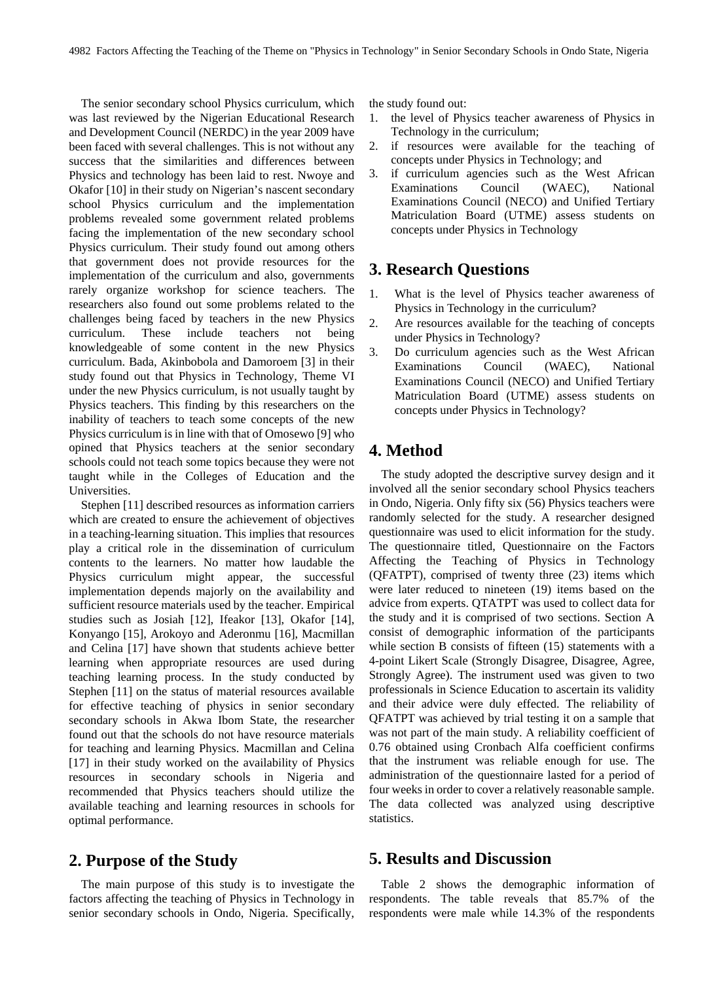The senior secondary school Physics curriculum, which was last reviewed by the Nigerian Educational Research and Development Council (NERDC) in the year 2009 have been faced with several challenges. This is not without any success that the similarities and differences between Physics and technology has been laid to rest. Nwoye and Okafor [10] in their study on Nigerian's nascent secondary school Physics curriculum and the implementation problems revealed some government related problems facing the implementation of the new secondary school Physics curriculum. Their study found out among others that government does not provide resources for the implementation of the curriculum and also, governments rarely organize workshop for science teachers. The researchers also found out some problems related to the challenges being faced by teachers in the new Physics curriculum. These include teachers not being knowledgeable of some content in the new Physics curriculum. Bada, Akinbobola and Damoroem [3] in their study found out that Physics in Technology, Theme VI under the new Physics curriculum, is not usually taught by Physics teachers. This finding by this researchers on the inability of teachers to teach some concepts of the new Physics curriculum is in line with that of Omosewo [9] who opined that Physics teachers at the senior secondary schools could not teach some topics because they were not taught while in the Colleges of Education and the Universities.

Stephen [11] described resources as information carriers which are created to ensure the achievement of objectives in a teaching-learning situation. This implies that resources play a critical role in the dissemination of curriculum contents to the learners. No matter how laudable the Physics curriculum might appear, the successful implementation depends majorly on the availability and sufficient resource materials used by the teacher. Empirical studies such as Josiah [12], Ifeakor [13], Okafor [14], Konyango [15], Arokoyo and Aderonmu [16], Macmillan and Celina [17] have shown that students achieve better learning when appropriate resources are used during teaching learning process. In the study conducted by Stephen [11] on the status of material resources available for effective teaching of physics in senior secondary secondary schools in Akwa Ibom State, the researcher found out that the schools do not have resource materials for teaching and learning Physics. Macmillan and Celina [17] in their study worked on the availability of Physics resources in secondary schools in Nigeria and recommended that Physics teachers should utilize the available teaching and learning resources in schools for optimal performance.

#### **2. Purpose of the Study**

The main purpose of this study is to investigate the factors affecting the teaching of Physics in Technology in senior secondary schools in Ondo, Nigeria. Specifically, the study found out:

- 1. the level of Physics teacher awareness of Physics in Technology in the curriculum;
- 2. if resources were available for the teaching of concepts under Physics in Technology; and
- 3. if curriculum agencies such as the West African Examinations Council (WAEC), National Examinations Council (NECO) and Unified Tertiary Matriculation Board (UTME) assess students on concepts under Physics in Technology

#### **3. Research Questions**

- 1. What is the level of Physics teacher awareness of Physics in Technology in the curriculum?
- 2. Are resources available for the teaching of concepts under Physics in Technology?
- 3. Do curriculum agencies such as the West African Examinations Council (WAEC), National Examinations Council (NECO) and Unified Tertiary Matriculation Board (UTME) assess students on concepts under Physics in Technology?

### **4. Method**

The study adopted the descriptive survey design and it involved all the senior secondary school Physics teachers in Ondo, Nigeria. Only fifty six (56) Physics teachers were randomly selected for the study. A researcher designed questionnaire was used to elicit information for the study. The questionnaire titled, Questionnaire on the Factors Affecting the Teaching of Physics in Technology (QFATPT), comprised of twenty three (23) items which were later reduced to nineteen (19) items based on the advice from experts. QTATPT was used to collect data for the study and it is comprised of two sections. Section A consist of demographic information of the participants while section B consists of fifteen  $(15)$  statements with a 4-point Likert Scale (Strongly Disagree, Disagree, Agree, Strongly Agree). The instrument used was given to two professionals in Science Education to ascertain its validity and their advice were duly effected. The reliability of QFATPT was achieved by trial testing it on a sample that was not part of the main study. A reliability coefficient of 0.76 obtained using Cronbach Alfa coefficient confirms that the instrument was reliable enough for use. The administration of the questionnaire lasted for a period of four weeks in order to cover a relatively reasonable sample. The data collected was analyzed using descriptive statistics.

## **5. Results and Discussion**

Table 2 shows the demographic information of respondents. The table reveals that 85.7% of the respondents were male while 14.3% of the respondents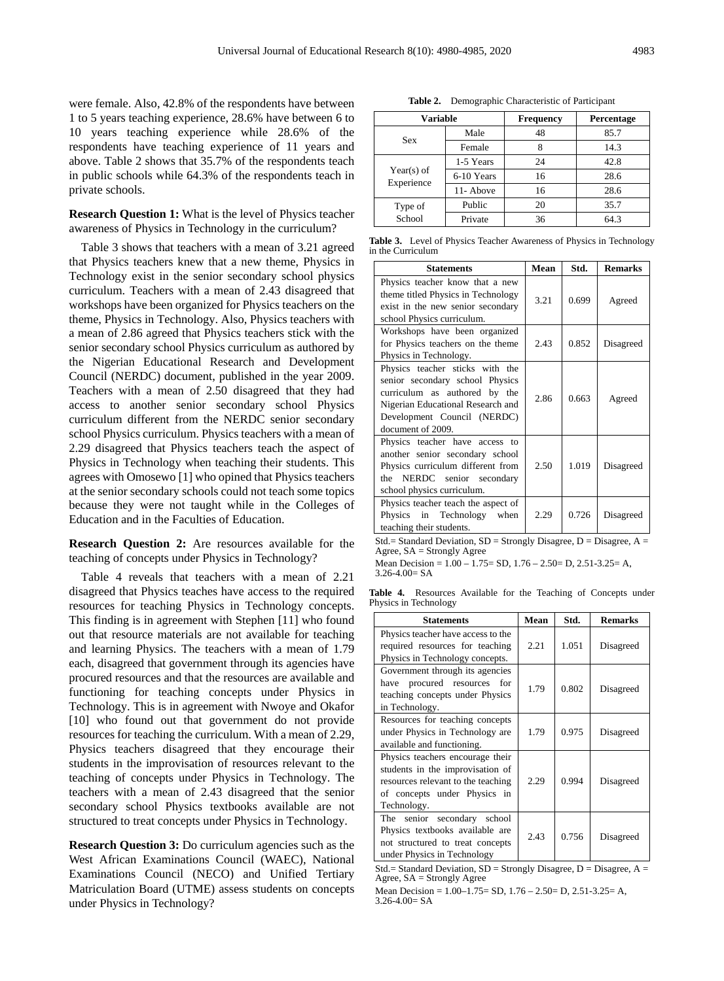School

were female. Also, 42.8% of the respondents have between 1 to 5 years teaching experience, 28.6% have between 6 to 10 years teaching experience while 28.6% of the respondents have teaching experience of 11 years and above. Table 2 shows that 35.7% of the respondents teach in public schools while 64.3% of the respondents teach in private schools.

**Research Question 1:** What is the level of Physics teacher awareness of Physics in Technology in the curriculum?

Table 3 shows that teachers with a mean of 3.21 agreed that Physics teachers knew that a new theme, Physics in Technology exist in the senior secondary school physics curriculum. Teachers with a mean of 2.43 disagreed that workshops have been organized for Physics teachers on the theme, Physics in Technology. Also, Physics teachers with a mean of 2.86 agreed that Physics teachers stick with the senior secondary school Physics curriculum as authored by the Nigerian Educational Research and Development Council (NERDC) document, published in the year 2009. Teachers with a mean of 2.50 disagreed that they had access to another senior secondary school Physics curriculum different from the NERDC senior secondary school Physics curriculum. Physics teachers with a mean of 2.29 disagreed that Physics teachers teach the aspect of Physics in Technology when teaching their students. This agrees with Omosewo [1] who opined that Physics teachers at the senior secondary schools could not teach some topics because they were not taught while in the Colleges of Education and in the Faculties of Education.

**Research Question 2:** Are resources available for the teaching of concepts under Physics in Technology?

Table 4 reveals that teachers with a mean of 2.21 disagreed that Physics teaches have access to the required resources for teaching Physics in Technology concepts. This finding is in agreement with Stephen [11] who found out that resource materials are not available for teaching and learning Physics. The teachers with a mean of 1.79 each, disagreed that government through its agencies have procured resources and that the resources are available and functioning for teaching concepts under Physics in Technology. This is in agreement with Nwoye and Okafor [10] who found out that government do not provide resources for teaching the curriculum. With a mean of 2.29, Physics teachers disagreed that they encourage their students in the improvisation of resources relevant to the teaching of concepts under Physics in Technology. The teachers with a mean of 2.43 disagreed that the senior secondary school Physics textbooks available are not structured to treat concepts under Physics in Technology.

**Research Question 3:** Do curriculum agencies such as the West African Examinations Council (WAEC), National Examinations Council (NECO) and Unified Tertiary Matriculation Board (UTME) assess students on concepts under Physics in Technology?

| <b>Variable</b>          |            | Frequency | Percentage |  |
|--------------------------|------------|-----------|------------|--|
|                          | Male       | 48        | 85.7       |  |
| Sex                      | Female     |           | 14.3       |  |
|                          | 1-5 Years  | 24        | 42.8       |  |
| Year(s) of<br>Experience | 6-10 Years | 16        | 28.6       |  |
|                          | 11- Above  | 16        | 28.6       |  |
| Type of                  | Public     | 20        | 35.7       |  |

**Table 2.** Demographic Characteristic of Participant

**Table 3.** Level of Physics Teacher Awareness of Physics in Technology in the Curriculum

Private 36 64.3

| <b>Statements</b>                                                                                                                                                                            | Mean | Std.  | <b>Remarks</b> |
|----------------------------------------------------------------------------------------------------------------------------------------------------------------------------------------------|------|-------|----------------|
| Physics teacher know that a new<br>theme titled Physics in Technology<br>exist in the new senior secondary<br>school Physics curriculum.                                                     | 3.21 | 0.699 | Agreed         |
| Workshops have been organized<br>for Physics teachers on the theme<br>Physics in Technology.                                                                                                 | 2.43 | 0.852 | Disagreed      |
| Physics teacher sticks with the<br>senior secondary school Physics<br>curriculum as authored by the<br>Nigerian Educational Research and<br>Development Council (NERDC)<br>document of 2009. | 2.86 | 0.663 | Agreed         |
| Physics teacher have access to<br>another senior secondary school<br>Physics curriculum different from<br>the NERDC senior secondary<br>school physics curriculum.                           | 2.50 | 1.019 | Disagreed      |
| Physics teacher teach the aspect of<br>Physics in Technology when<br>teaching their students.                                                                                                | 2.29 | 0.726 | Disagreed      |

Std.= Standard Deviation,  $SD =$  Strongly Disagree,  $D =$  Disagree,  $A =$ Agree, SA = Strongly Agree

Mean Decision = 1.00 – 1.75= SD, 1.76 – 2.50= D, 2.51-3.25= A,  $3.26 - 4.00 = SA$ 

**Table 4.** Resources Available for the Teaching of Concepts under Physics in Technology

| <b>Statements</b>                                                                                                                                         | Mean | Std.  | <b>Remarks</b> |
|-----------------------------------------------------------------------------------------------------------------------------------------------------------|------|-------|----------------|
| Physics teacher have access to the<br>required resources for teaching<br>Physics in Technology concepts.                                                  | 2.21 | 1.051 | Disagreed      |
| Government through its agencies<br>have procured resources for<br>teaching concepts under Physics<br>in Technology.                                       | 1.79 | 0.802 | Disagreed      |
| Resources for teaching concepts<br>under Physics in Technology are<br>available and functioning.                                                          | 1.79 | 0.975 | Disagreed      |
| Physics teachers encourage their<br>students in the improvisation of<br>resources relevant to the teaching<br>of concepts under Physics in<br>Technology. | 2.29 | 0.994 | Disagreed      |
| The senior secondary<br>school<br>Physics textbooks available are<br>not structured to treat concepts<br>under Physics in Technology                      | 2.43 | 0.756 | Disagreed      |

Std.= Standard Deviation,  $SD =$  Strongly Disagree,  $D =$  Disagree,  $A =$ Agree,  $SA =$  Strongly Agree

Mean Decision = 1.00–1.75= SD, 1.76 – 2.50= D, 2.51-3.25= A,  $3.26 - 4.00 = SA$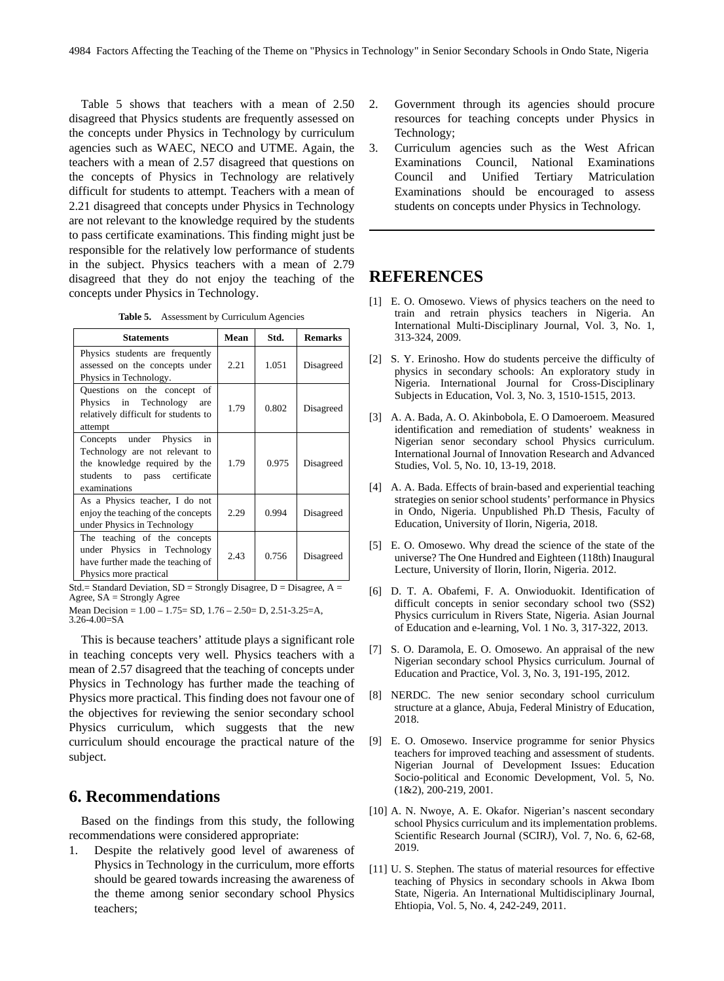Table 5 shows that teachers with a mean of 2.50 disagreed that Physics students are frequently assessed on the concepts under Physics in Technology by curriculum agencies such as WAEC, NECO and UTME. Again, the teachers with a mean of 2.57 disagreed that questions on the concepts of Physics in Technology are relatively difficult for students to attempt. Teachers with a mean of 2.21 disagreed that concepts under Physics in Technology are not relevant to the knowledge required by the students to pass certificate examinations. This finding might just be responsible for the relatively low performance of students in the subject. Physics teachers with a mean of 2.79 disagreed that they do not enjoy the teaching of the concepts under Physics in Technology.

**Table 5.** Assessment by Curriculum Agencies

| <b>Statements</b>                                                                                                                               | Mean | Std.  | <b>Remarks</b> |
|-------------------------------------------------------------------------------------------------------------------------------------------------|------|-------|----------------|
| Physics students are frequently<br>assessed on the concepts under<br>Physics in Technology.                                                     | 2.21 | 1.051 | Disagreed      |
| Questions on the concept of<br>Physics in Technology<br>are<br>relatively difficult for students to<br>attempt                                  | 1.79 | 0.802 | Disagreed      |
| Concepts under Physics<br>in<br>Technology are not relevant to<br>the knowledge required by the<br>students to pass certificate<br>examinations | 1.79 | 0.975 | Disagreed      |
| As a Physics teacher, I do not<br>enjoy the teaching of the concepts<br>under Physics in Technology                                             | 2.29 | 0.994 | Disagreed      |
| The teaching of the concepts<br>under Physics in Technology<br>have further made the teaching of<br>Physics more practical                      | 2.43 | 0.756 | Disagreed      |

Std.= Standard Deviation, SD = Strongly Disagree, D = Disagree, A = Agree, SA = Strongly Agree

Mean Decision = 1.00 – 1.75= SD, 1.76 – 2.50= D, 2.51-3.25=A, 3.26-4.00=SA

This is because teachers' attitude plays a significant role in teaching concepts very well. Physics teachers with a mean of 2.57 disagreed that the teaching of concepts under Physics in Technology has further made the teaching of Physics more practical. This finding does not favour one of the objectives for reviewing the senior secondary school Physics curriculum, which suggests that the new curriculum should encourage the practical nature of the subject.

## **6. Recommendations**

Based on the findings from this study, the following recommendations were considered appropriate:

1. Despite the relatively good level of awareness of Physics in Technology in the curriculum, more efforts should be geared towards increasing the awareness of the theme among senior secondary school Physics teachers;

- 2. Government through its agencies should procure resources for teaching concepts under Physics in Technology;
- 3. Curriculum agencies such as the West African Examinations Council, National Examinations Council and Unified Tertiary Matriculation Examinations should be encouraged to assess students on concepts under Physics in Technology.

## **REFERENCES**

- [1] E. O. Omosewo. Views of physics teachers on the need to train and retrain physics teachers in Nigeria. An International Multi-Disciplinary Journal, Vol. 3, No. 1, 313-324, 2009.
- [2] S. Y. Erinosho. How do students perceive the difficulty of physics in secondary schools: An exploratory study in Nigeria. International Journal for Cross-Disciplinary Subjects in Education, Vol. 3, No. 3, 1510-1515, 2013.
- [3] A. A. Bada, A. O. Akinbobola, E. O Damoeroem. Measured identification and remediation of students' weakness in Nigerian senor secondary school Physics curriculum. International Journal of Innovation Research and Advanced Studies, Vol. 5, No. 10, 13-19, 2018.
- [4] A. A. Bada. Effects of brain-based and experiential teaching strategies on senior school students' performance in Physics in Ondo, Nigeria. Unpublished Ph.D Thesis, Faculty of Education, University of Ilorin, Nigeria, 2018.
- [5] E. O. Omosewo. Why dread the science of the state of the universe? The One Hundred and Eighteen (118th) Inaugural Lecture, University of Ilorin, Ilorin, Nigeria. 2012.
- [6] D. T. A. Obafemi, F. A. Onwioduokit. Identification of difficult concepts in senior secondary school two (SS2) Physics curriculum in Rivers State, Nigeria. Asian Journal of Education and e-learning, Vol. 1 No. 3, 317-322, 2013.
- [7] S. O. Daramola, E. O. Omosewo. An appraisal of the new Nigerian secondary school Physics curriculum. Journal of Education and Practice, Vol. 3, No. 3, 191-195, 2012.
- [8] NERDC. The new senior secondary school curriculum structure at a glance, Abuja, Federal Ministry of Education, 2018.
- [9] E. O. Omosewo. Inservice programme for senior Physics teachers for improved teaching and assessment of students. Nigerian Journal of Development Issues: Education Socio-political and Economic Development, Vol. 5, No. (1&2), 200-219, 2001.
- [10] A. N. Nwoye, A. E. Okafor. Nigerian's nascent secondary school Physics curriculum and its implementation problems. Scientific Research Journal (SCIRJ), Vol. 7, No. 6, 62-68, 2019.
- [11] U. S. Stephen. The status of material resources for effective teaching of Physics in secondary schools in Akwa Ibom State, Nigeria. An International Multidisciplinary Journal, Ehtiopia, Vol. 5, No. 4, 242-249, 2011.